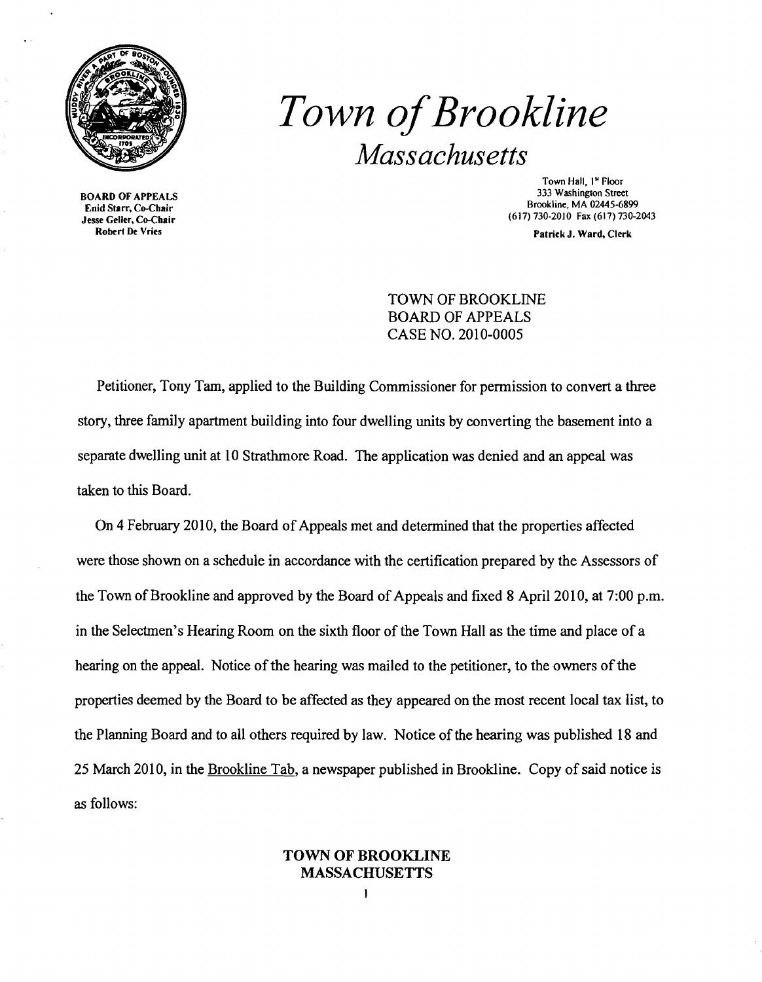

Enid Starr, Co-Chair<br>Jesse Geller, Co-Chair Robert De Vries

# **Town of Brookline** *Massachusetts*

Town Hall, 1<sup>st</sup> Floor<br>333 Washington Street 333 Washington Street BOARD OF APPEALS<br>
Field Starr Co Chair (617) 730-2010 Fax (617) 730-2043

Patrick J. Ward, Clerk

TOWN OF BROOKLINE BOARD OF APPEALS CASE NO. 2010-0005

Petitioner, Tony Tam, applied to the Building Commissioner for permission to convert a three story, three family apartment building into four dwelling units by converting the basement into a separate dwelling unit at 10 Strathmore Road. The application was denied and an appeal was taken to this Board.

On 4 February 2010, the Board of Appeals met and determined that the properties affected were those shown on a schedule in accordance with the certification prepared by the Assessors of the Town of Brookline and approved by the Board of Appeals and fixed 8 April 2010, at 7:00 p.m. in the Selectmen's Hearing Room on the sixth floor of the Town Hall as the time and place of a hearing on the appeal. Notice of the hearing was mailed to the petitioner, to the owners of the properties deemed by the Board to be affected as they appeared on the most recent local tax list, to the Planning Board and to all others required by law. Notice of the hearing was published 18 and 25 March 2010, in the Brookline Tab, a newspaper published in Brookline. Copy of said notice is as follows:

#### TOWN OF BROOKLINE MASSACHUSETTS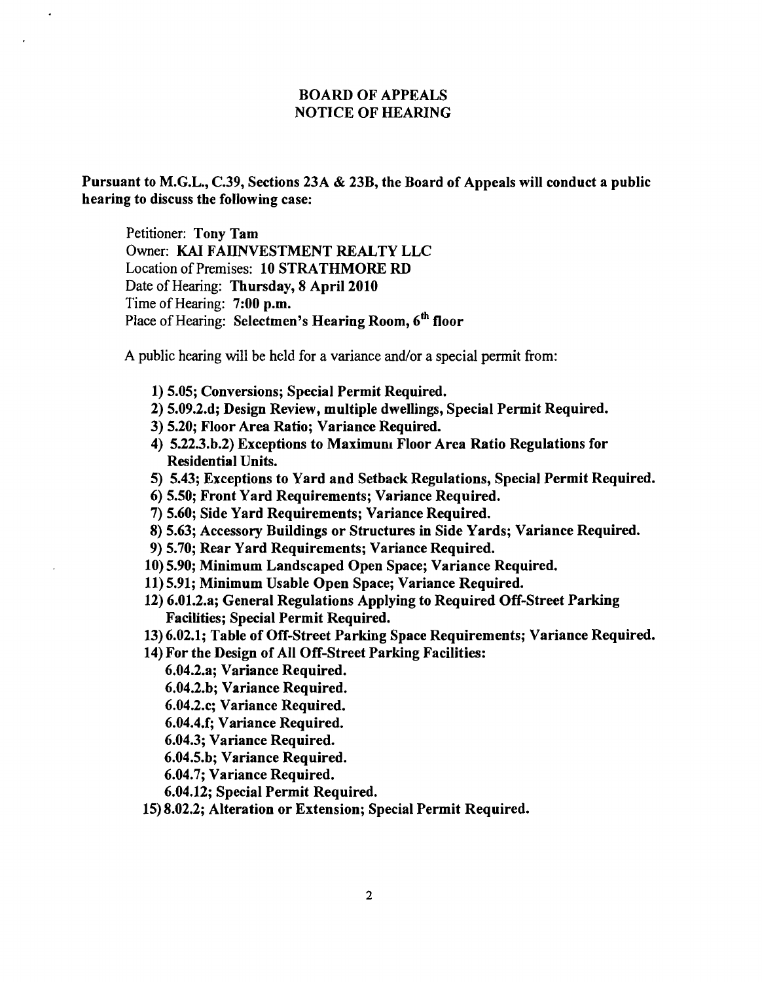#### BOARD OF APPEALS NOTICE OF HEARING

Pursuant to M.G.L., C.39, Sections 23A & 23B, the Board of Appeals will conduct a public hearing to discuss the following case:

Petitioner: Tony Tam Owner: KAI FAIINVESTMENT REALTY LLC Location of Premises: 10 STRATHMORE RD Date of Hearing: Thursday, 8 April 2010 Time of Hearing: 7:00 p.m. Place of Hearing: Selectmen's Hearing Room, 6<sup>th</sup> floor

A public hearing will be held for a variance and/or a special permit from:

- 1) 5.05; Conversions; Special Permit Required.
- 2) 5.09.2.d; Design Review, multiple dwellings, Special Permit Required.
- 3) 5.20; Floor Area Ratio; Variance Required.
- 4) 5.22.3.b.2) Exceptions to Maximum Floor Area Ratio Regulations for Residential Units.
- 5) 5.43; Exceptions to Yard and Setback Regulations, Special Permit Required.
- 6) 5.50; Front Yard Requirements; Variance Required.
- 7) 5.60; Side Yard Requirements; Variance Required.
- 8) 5.63; Accessory Buildings or Structures in Side Yards; Variance Required.
- 9) 5.70; Rear Yard Requirements; Variance Required.
- 10) 5.90; Minimum Landscaped Open Space; Variance Required.
- 11) 5.91; Minimum Usable Open Space; Variance Required.
- 12) 6.01.2.a; General Regulations Applying to Required Off-Street Parking Facilities; Special Permit Required.
- 13) 6.02.1; Table of Off-Street Parking Space Requirements; Variance Required.
- 14) For the Design of All Off-Street Parking Facilities:
	- 6.04.2.a; Variance Required.
	- 6.04.2.b; Variance Required.
	- 6.04.2.c; Variance Required.
	- 6.04.4.f; Variance Required.
	- 6.04.3; Variance Required.
	- 6.04.5.b; Variance Required.
	- 6.04.7; Variance Required.
	- 6.04.12; Special Permit Required.
- 15) 8.02.2; Alteration or Extension; Special Permit Required.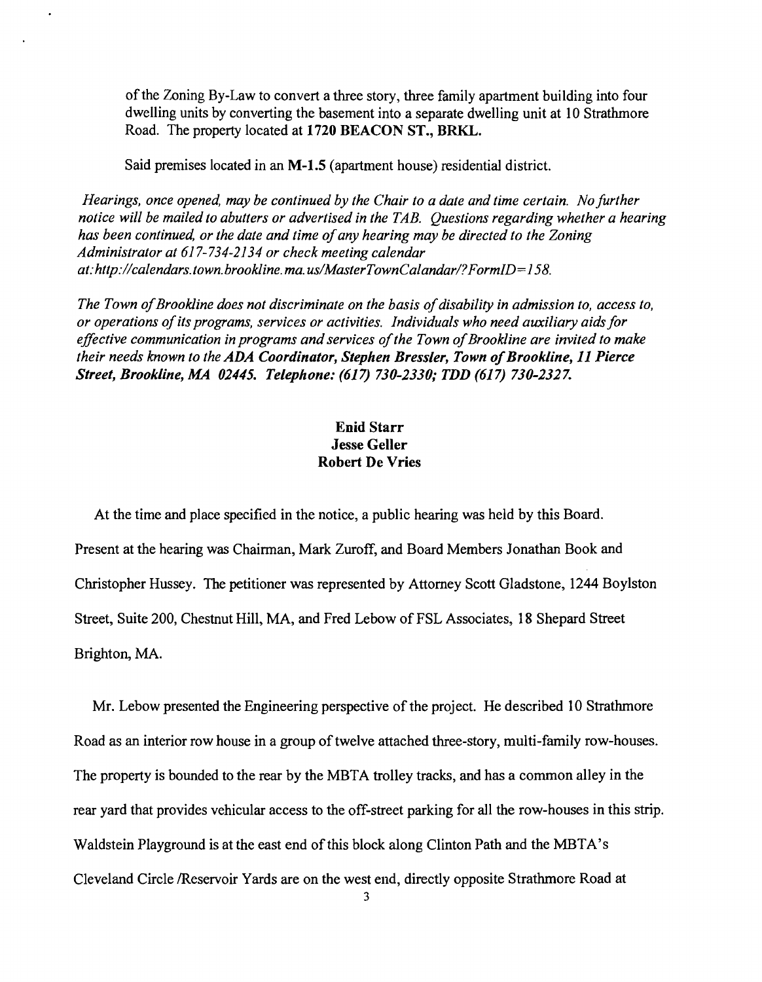of the Zoning By-Law to convert a three story, three family apartment building into four dwelling units by converting the basement into a separate dwelling unit at 10 Strathmore Road. The property located at 1720 BEACON ST., BRKL.

Said premises located in an M-1.5 (apartment house) residential district.

*Hearings, once opened, may be continued by the Chair to a date and time certain. No further notice will be mailed to abutters or advertised in the TAB. Questions regarding whether a hearing has been continued, or the date and time ofany hearing may be directed to the Zoning Administrator at* 617-734-2134 *or check meeting calendar*  at:http://calendars.town.brookline.ma.us/MasterTownCalandar/?FormID=158.

*The Town of Brookline does not discriminate on the basis of disability in admission to, access to, or operations ofits programs, services or activities. Individuals who need auxiliary aids for*  effective communication in programs and services of the Town of Brookline are invited to make *their needs known to the ADA Coordinator, Stephen Bressler, Town of Brookline, 11 Pierce Street, Brookline, MA 02445. Telephone:* (617) *730-2330; TDD* (617) *730-2327.* 

## Enid Starr Jesse Geller Robert De Vries

At the time and place specified in the notice, a public hearing was held by this Board. Present at the hearing was Chairman, Mark Zuroff, and Board Members Jonathan Book and Christopher Hussey. The petitioner was represented by Attorney Scott Gladstone, 1244 Boylston Street, Suite 200, Chestnut Hill, MA, and Fred Lebow of FSL Associates, 18 Shepard Street Brighton, MA.

Mr. Lebow presented the Engineering perspective of the project. He described 10 Strathmore Road as an interior row house in a group of twelve attached three-story, multi-family row-houses. The property is bounded to the rear by the MBTA trolley tracks, and has a common alley in the rear yard that provides vehicular access to the off-street parking for all the row-houses in this strip. Waldstein Playground is at the east end of this block along Clinton Path and the MBTA's Cleveland Circle /Reservoir Yards are on the west end, directly opposite Strathmore Road at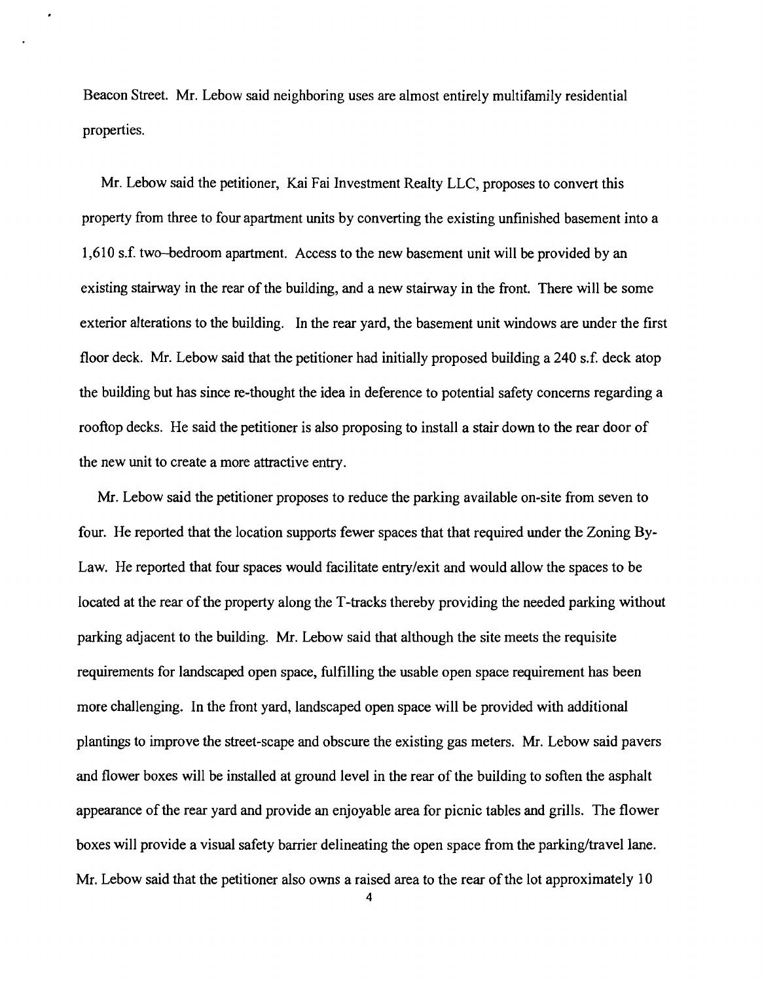Beacon Street. Mr. Lebow said neighboring uses are almost entirely multifamily residential properties.

Mr. Lebow said the petitioner, Kai Fai Investment Realty LLC, proposes to convert this property from three to four apartment units by converting the existing unfinished basement into a 1,610 s.f. two-bedroom apartment. Access to the new basement unit will be provided by an existing stairway in the rear of the building, and a new stairway in the front. There will be some exterior alterations to the building. In the rear yard, the basement unit windows are under the first floor deck. Mr. Lebow said that the petitioner had initially proposed building a 240 s.f. deck atop the building but has since re-thought the idea in deference to potential safety concerns regarding a rooftop decks. He said the petitioner is also proposing to install a stair down to the rear door of the new unit to create a more attractive entry.

Mr. Lebow said the petitioner proposes to reduce the parking available on-site from seven to four. He reported that the location supports fewer spaces that that required under the Zoning By-Law. He reported that four spaces would facilitate entry/exit and would allow the spaces to be located at the rear of the property along the T-tracks thereby providing the needed parking without parking adjacent to the building. Mr. Lebow said that although the site meets the requisite requirements for landscaped open space, fulfilling the usable open space requirement has been more challenging. In the front yard, landscaped open space will be provided with additional plantings to improve the street-scape and obscure the existing gas meters. Mr. Lebow said pavers and flower boxes will be installed at ground level in the rear of the building to soften the asphalt appearance of the rear yard and provide an enjoyable area for picnic tables and grills. The flower boxes will provide a visual safety barrier delineating the open space from the parking/travel lane. Mr. Lebow said that the petitioner also owns a raised area to the rear of the lot approximately  $10$ 

4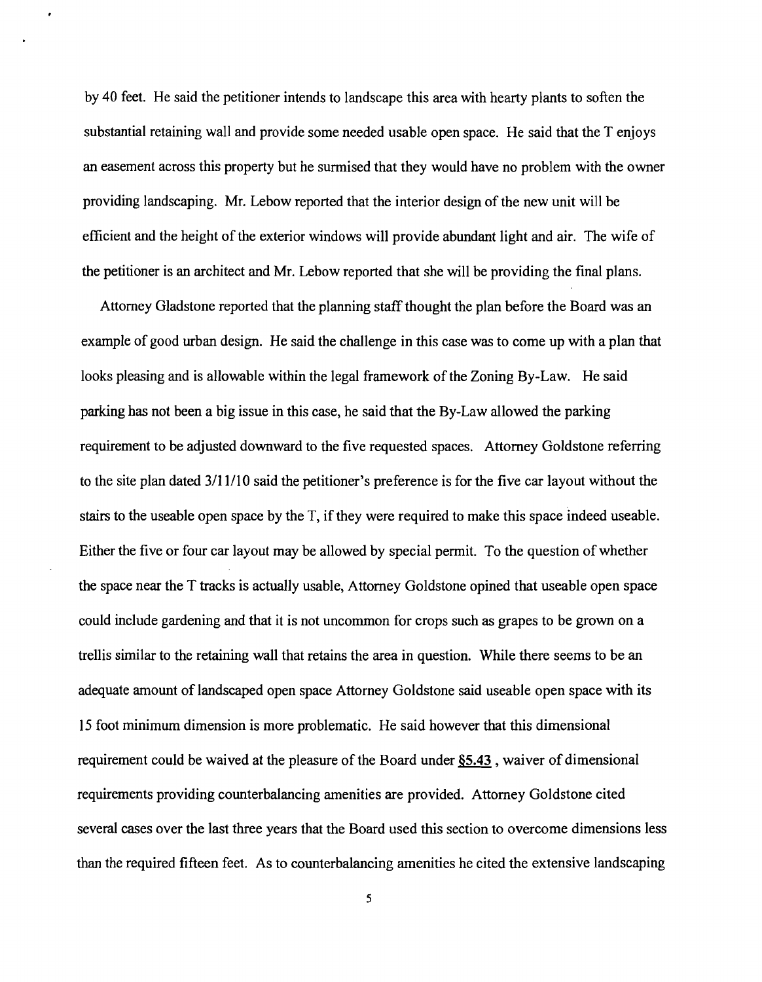by 40 feet. He said the petitioner intends to landscape this area with hearty plants to soften the substantial retaining wall and provide some needed usable open space. He said that the T enjoys an easement across this property but he surmised that they would have no problem with the owner providing landscaping. Mr. Lebow reported that the interior design of the new unit will be efficient and the height of the exterior windows will provide abundant light and air. The wife of the petitioner is an architect and Mr. Lebow reported that she will be providing the final plans.

Attorney Gladstone reported that the planning staff thought the plan before the Board was an example of good urban design. He said the challenge in this case was to come up with a plan that looks pleasing and is allowable within the legal framework of the Zoning By-Law. He said parking has not been a big issue in this case, he said that the By-Law allowed the parking requirement to be adjusted downward to the five requested spaces. Attorney Goldstone referring to the site plan dated 3/11/10 said the petitioner's preference is for the five car layout without the stairs to the useable open space by the T, if they were required to make this space indeed useable. Either the five or four car layout may be allowed by special permit. To the question of whether the space near the T tracks is actually usable, Attorney Goldstone opined that useable open space could include gardening and that it is not uncommon for crops such as grapes to be grown on a trellis similar to the retaining wall that retains the area in question. While there seems to be an adequate amount of landscaped open space Attorney Goldstone said useable open space with its 15 foot minimum dimension is more problematic. He said however that this dimensional requirement could be waived at the pleasure of the Board under §5.43, waiver of dimensional requirements providing counterbalancing amenities are provided. Attorney Goldstone cited several cases over the last three years that the Board used this section to overcome dimensions less than the required fifteen feet. As to counterbalancing amenities he cited the extensive landscaping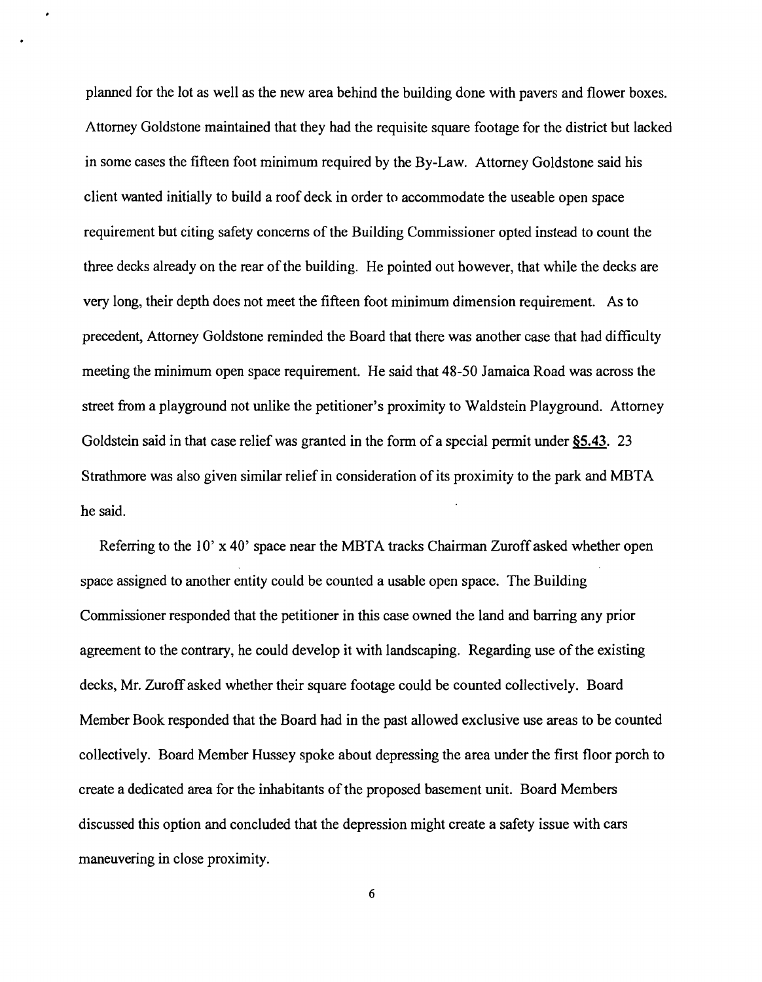planned for the lot as well as the new area behind the building done with pavers and flower boxes. Attorney Goldstone maintained that they had the requisite square footage for the district but lacked in some cases the fifteen foot minimum required by the By-Law. Attorney Goldstone said his client wanted initially to build a roof deck in order to accommodate the useable open space requirement but citing safety concerns of the Building Commissioner opted instead to count the three decks already on the rear of the building. He pointed out however, that while the decks are very long, their depth does not meet the fifteen foot minimum dimension requirement. As to precedent, Attorney Goldstone reminded the Board that there was another case that had difficulty meeting the minimum open space requirement. He said that 48-50 Jamaica Road was across the street from a playground not unlike the petitioner's proximity to Waldstein Playground. Attorney Goldstein said in that case relief was granted in the form of a special permit under §5.43. 23 Strathmore was also given similar relief in consideration of its proximity to the park and MBTA he said.

Referring to the 10' x 40' space near the MBTA tracks Chairman Zuroff asked whether open space assigned to another entity could be counted a usable open space. The Building Commissioner responded that the petitioner in this case owned the land and barring any prior agreement to the contrary, he could develop it with landscaping. Regarding use of the existing decks, Mr. Zuroff asked whether their square footage could be counted collectively. Board Member Book responded that the Board had in the past allowed exclusive use areas to be counted collectively. Board Member Hussey spoke about depressing the area under the first floor porch to create a dedicated area for the inhabitants of the proposed basement unit. Board Members discussed this option and concluded that the depression might create a safety issue with cars maneuvering in close proximity.

6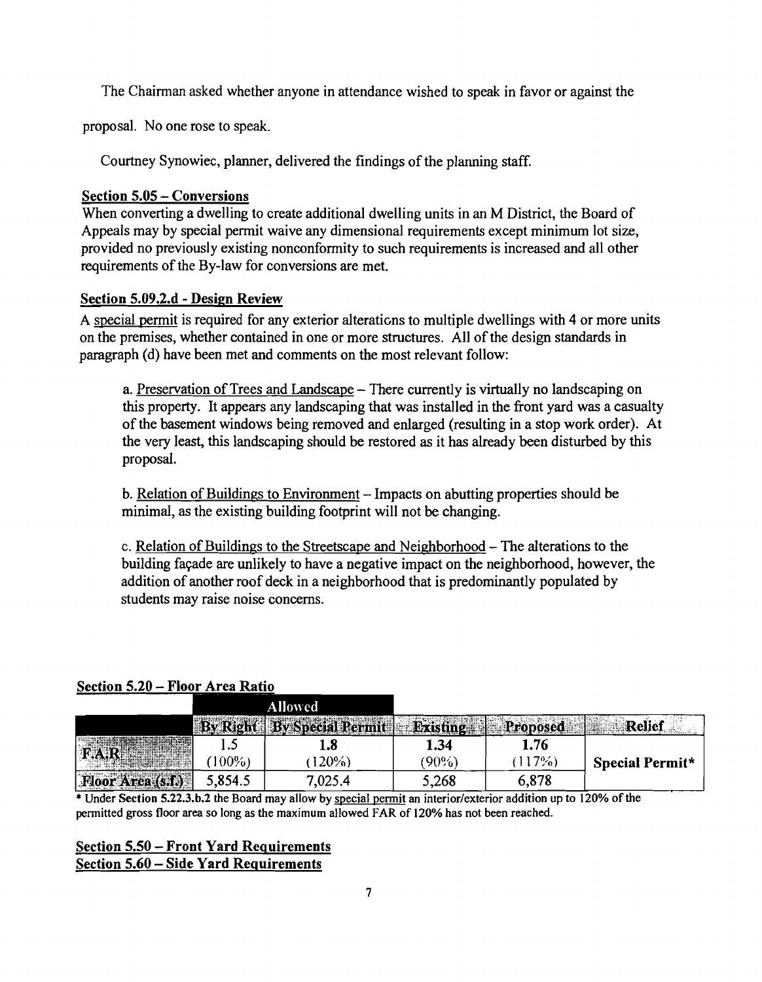The Chairman asked whether anyone in attendance wished to speak in favor or against the

proposal. No one rose to speak.

Courtney Synowiec, planner, delivered the findings of the planning staff.

# Section 5.05 - Conversions

When converting a dwelling to create additional dwelling units in an M District, the Board of Appeals may by special permit waive any dimensional requirements except minimum lot size, provided no previously existing nonconformity to such requirements is increased and all other requirements of the By-law for conversions are met.

## Section 5.09.2.d - Design Review

A special permit is required for any exterior alterations to multiple dwellings with 4 or more units on the premises, whether contained in one or more structures. All of the design standards in paragraph (d) have been met and comments on the most relevant follow:

a. Preservation of Trees and Landscape – There currently is virtually no landscaping on this property. It appears any landscaping that was installed in the front yard was a casualty of the basement windows being removed and enlarged (resulting in a stop work order). At the very least, this landscaping should be restored as it has already been disturbed by this proposal.

b. Relation of Buildings to Environment - Impacts on abutting properties should be minimal, as the existing building footprint will not be changing.

c. Relation of Buildings to the Streetscape and Neighborhood - The alterations to the building fayade are unlikely to have a negative impact on the neighborhood, however, the addition of another roof deck in a neighborhood that is predominantly populated by students may raise noise concerns.

#### Section 5.20 - Floor Area Ratio

|                                                                                                                                                                                                                               |         | Allowed                             |                    |       |                         |
|-------------------------------------------------------------------------------------------------------------------------------------------------------------------------------------------------------------------------------|---------|-------------------------------------|--------------------|-------|-------------------------|
|                                                                                                                                                                                                                               | ರಾಸ. ಎಲ | <b>SEARCH AND REAL PROPERTY AND</b> | <b>PLACE X POT</b> |       | AAAA<br>CAPACKER A TELL |
|                                                                                                                                                                                                                               | .       | 1.8                                 | 1.54               | 1.76  |                         |
| <b>MARKET CONTRACT</b>                                                                                                                                                                                                        | $00\%$  | 20%                                 | 90%                | 7%    | Special Permit*         |
| A MARITIM AND THE RESIDENCE OF A STATE OF A STATE OF A STATE OF A STATE OF A STATE OF A STATE OF A STATE OF A<br>AAARTHI SEES<br>rea <sub>3</sub> (s.f.)<br>THE R. P. LEWIS CO., LANSING, MICH. 49-14039-1-120-2012 P.M. 2012 | 5,854.5 | ,025.4                              | 5,268              | 6,878 |                         |

\* Under Section S.22.3.b.2 the Board may allow by special pennit an interior/exterior addition up to 120% of the pennitted gross floor area so long as the maximum allowed FAR of 120% has not been reached.

# Section 5.50 - Front Yard Requirements Section 5.60 - Side Yard Requirements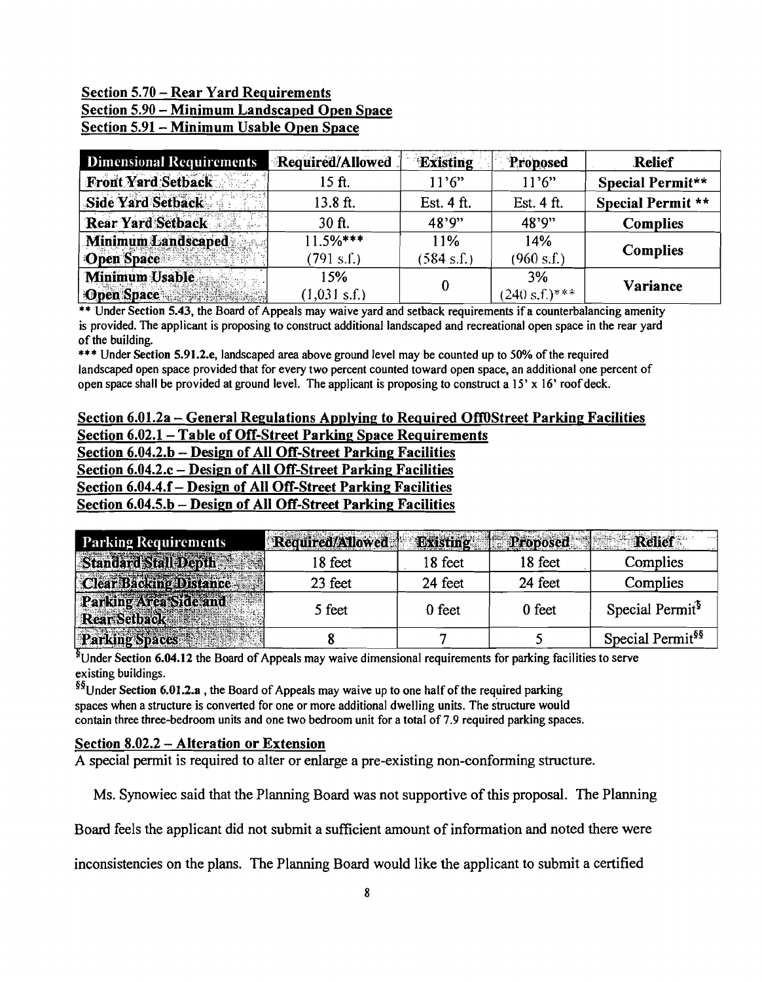# Section 5.70 - Rear Yard Requirements Section 5.90 - Minimum Landscaped Open Space Section 5.91 - Minimum Usable Open Space

| <b>Dimensional Requirements</b>                        | Required/Allowed              | <b>Existing</b>             | Proposed               | <b>Relief</b>     |
|--------------------------------------------------------|-------------------------------|-----------------------------|------------------------|-------------------|
| Front Yard Setback                                     | 15 ft.                        | 11'6"                       | 11'6"                  | Special Permit**  |
| Side Yard Setback                                      | 13.8 ft.                      | Est. 4 ft.                  | Est. 4 ft.             | Special Permit ** |
| <b>Rear Yard Setback</b>                               | $30$ ft.                      | 48'9"                       | 48'9"                  | <b>Complies</b>   |
| Minimum Landscaped<br><b>Open Space</b><br><b>*服保料</b> | $11.5%***$<br>(791 s.f.)      | 11%<br>$(584 \text{ s.f.})$ | 14%<br>(960 s.f.)      | <b>Complies</b>   |
| Minimum Usable<br>Open Space                           | 15%<br>$(1,031 \text{ s.f.})$ | 0                           | 3%<br>$(240 s.f.)$ *** | Variance          |

\*\* Under Section 5.43, the Board of Appeals may waive yard and setback requirements if a counterbalancing amenity is provided. The applicant is proposing to construct additional landscaped and recreational open space in the rear yard of the building.

\*\*\* Under Section 5.91.2.e, landscaped area above ground level may be counted up to 50% of the required landscaped open space provided that for every two percent counted toward open space, an additional one percent of open space shall be provided at ground level. The applicant is proposing to construct a  $15' \times 16'$  roof deck.

#### Section 6.01.2a – General Regulations Applying to Required Off0Street Parking Facilities Section 6.02.1- Table of Off-Street Parking Space Requirements Section 6.04.2.b - Design of All Off-Street Parking Facilities Section 6.04.2.c - Design of All Off-Street Parking Facilities

Section 6.04.4.f- Design of All Off-Street Parking Facilities Section 6.04.5.b - Design of All Off-Street Parking Facilities

| <b>Parking Requirements</b>                  | Required/Allowed | <b>Existing</b> | <b>Proposed</b> |                              |
|----------------------------------------------|------------------|-----------------|-----------------|------------------------------|
| <b>Standard Stall David Co</b>               | 18 feet          | 18 feet         | 18 feet         | Complies                     |
| <b>Clear Backing Distance</b>                | 23 feet          | 24 feet         | 24 feet         | Complies                     |
| Parking Area Side and<br>Rear Setbacks Marsh | 5 feet           | 0 feet          | 0 feet          | Special Permit <sup>3</sup>  |
| <b>Parking Spaces</b>                        |                  |                 |                 | Special Permit <sup>§§</sup> |

 $\frac{1}{2}$ Under Section 6.04.12 the Board of Appeals may waive dimensional requirements for parking facilities to serve existing buildings.

 $^{88}$ Under Section 6.01.2.a, the Board of Appeals may waive up to one half of the required parking spaces when a structure is converted for one or more additional dwelling units. The structure would contain three three-bedroom units and one two bedroom unit for a total of 7.9 required parking spaces.

# Section 8.02.2 - Alteration or Extension

A special permit is required to alter or enlarge a pre-existing non-conforming structure.

Ms. Synowiec said that the Planning Board was not supportive of this proposal. The Planning

Board feels the applicant did not submit a sufficient amount of information and noted there were

inconsistencies on the plans. The Planning Board would like the applicant to submit a certified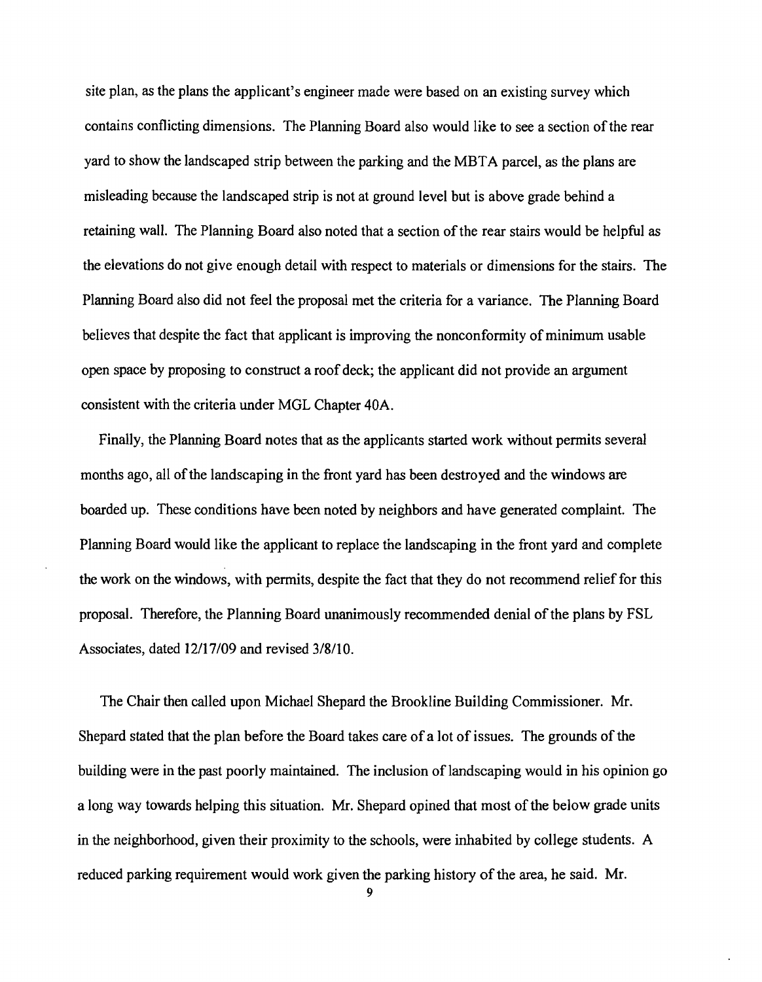site plan, as the plans the applicant's engineer made were based on an existing survey which contains conflicting dimensions. The Planning Board also would like to see a section of the rear yard to show the landscaped strip between the parking and the MBTA parcel, as the plans are misleading because the landscaped strip is not at ground level but is above grade behind a retaining wall. The Planning Board also noted that a section of the rear stairs would be helpful as the elevations do not give enough detail with respect to materials or dimensions for the stairs. The Planning Board also did not feel the proposal met the criteria for a variance. The Planning Board believes that despite the fact that applicant is improving the nonconformity of minimum usable open space by proposing to construct a roof deck; the applicant did not provide an argument consistent with the criteria under MGL Chapter 40A.

Finally, the Planning Board notes that as the applicants started work without permits several months ago, all of the landscaping in the front yard has been destroyed and the windows are boarded up. These conditions have been noted by neighbors and have generated complaint. The Planning Board would like the applicant to replace the landscaping in the front yard and complete the work on the windows, with permits, despite the fact that they do not recommend relief for this proposal. Therefore, the Planning Board unanimously recommended denial of the plans by FSL Associates, dated 12/17/09 and revised 3/8/10.

The Chair then called upon Michael Shepard the Brookline Building Commissioner. Mr. Shepard stated that the plan before the Board takes care of a lot of issues. The grounds of the building were in the past poorly maintained. The inclusion of landscaping would in his opinion go a long way towards helping this situation. Mr. Shepard opined that most of the below grade units in the neighborhood, given their proximity to the schools, were inhabited by college students. A reduced parking requirement would work given the parking history of the area, he said. Mr.

9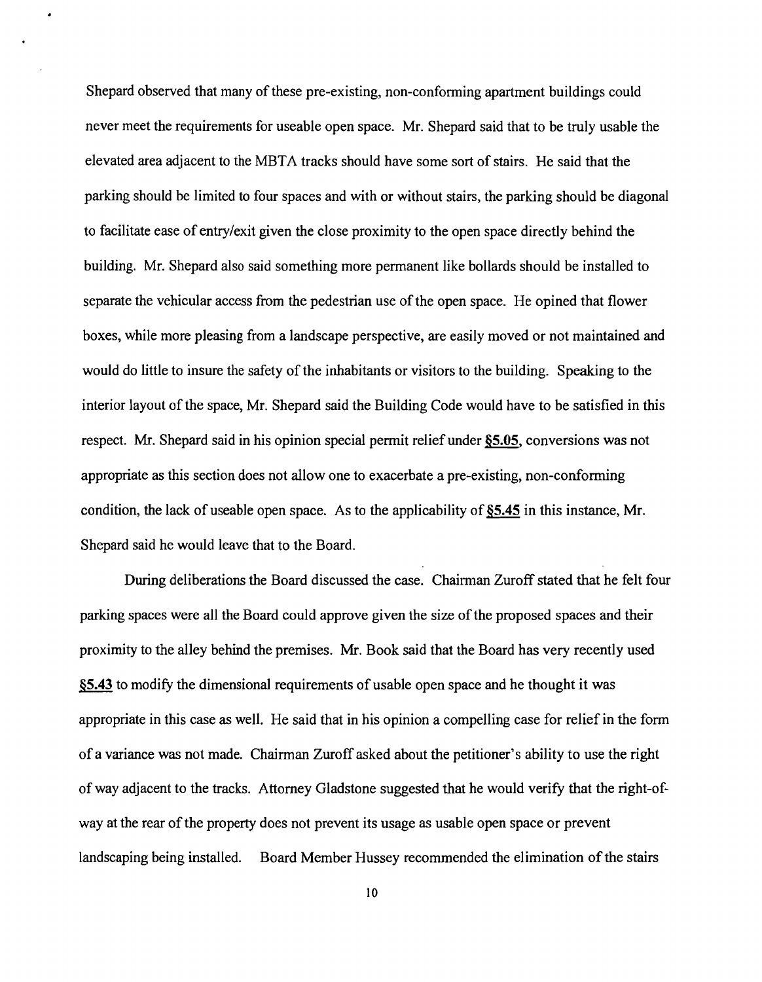Shepard observed that many of these pre-existing, non-conforming apartment buildings could never meet the requirements for useable open space. Mr. Shepard said that to be truly usable the elevated area adjacent to the MBTA tracks should have some sort of stairs. He said that the parking should be limited to four spaces and with or without stairs, the parking should be diagonal to facilitate ease of entry/exit given the close proximity to the open space directly behind the building. Mr. Shepard also said something more permanent like bollards should be installed to separate the vehicular access from the pedestrian use of the open space. He opined that flower boxes, while more pleasing from a landscape perspective, are easily moved or not maintained and would do little to insure the safety of the inhabitants or visitors to the building. Speaking to the interior layout of the space, Mr. Shepard said the Building Code would have to be satisfied in this respect. Mr. Shepard said in his opinion special permit relief under §5.05, conversions was not appropriate as this section does not allow one to exacerbate a pre-existing, non-conforming condition, the lack of useable open space. As to the applicability of **§5,45** in this instance, Mr. Shepard said he would leave that to the Board.

During deliberations the Board discussed the case. Chairman Zuroff stated that he felt four parking spaces were all the Board could approve given the size of the proposed spaces and their proximity to the alley behind the premises. Mr. Book said that the Board has very recently used **§5,43** to modify the dimensional requirements of usable open space and he thought it was appropriate in this case as well. He said that in his opinion a compelling case for relief in the form of a variance was not made. Chairman Zuroff asked about the petitioner's ability to use the right of way adjacent to the tracks. Attorney Gladstone suggested that he would verify that the right-ofway at the rear of the property does not prevent its usage as usable open space or prevent landscaping being installed. Board Member Hussey recommended the elimination of the stairs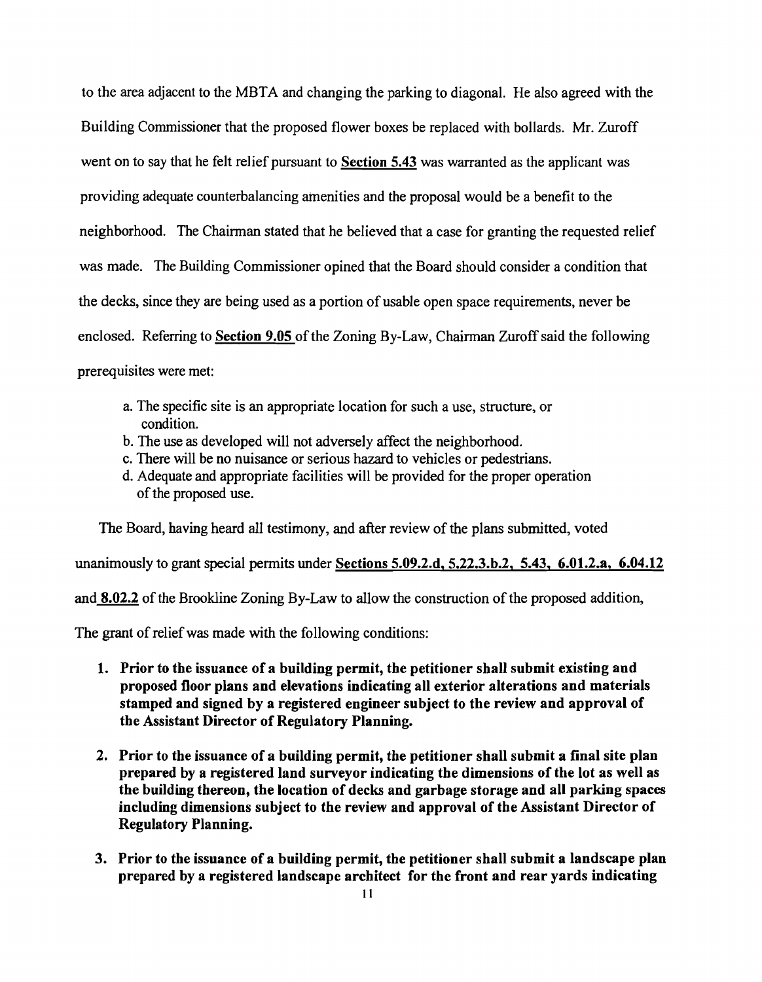to the area adjacent to the MBTA and changing the parking to diagonal. He also agreed with the Building Commissioner that the proposed flower boxes be replaced with bollards. Mr. Zuroff went on to say that he felt relief pursuant to Section 5.43 was warranted as the applicant was providing adequate counterbalancing ainenities and the proposal would be a benefit to the neighborhood. The Chairman stated that he believed that a case for granting the requested relief was made. The Building Commissioner opined that the Board should consider a condition that the decks, since they are being used as a portion of usable open space requirements, never be enclosed. Referring to Section 9.05 of the Zoning By-Law, Chairman Zuroff said the following prerequisites were met:

- a. The specific site is an appropriate location for such a use, structure, or condition.
- b. The use as developed will not adversely affect the neighborhood.
- c. There will be no nuisance or serious hazard to vehicles or pedestrians.
- d. Adequate and appropriate facilities will be provided for the proper operation of the proposed use.

The Board, having heard all testimony, and after review of the plans submitted, voted

unanimously to grant special permits under Sections 5.09.2.d, 5.22.3.b.2, 5.43, 6.01.2.a, 6.04.12

and  $8.02.2$  of the Brookline Zoning By-Law to allow the construction of the proposed addition,

The grant of relief was made with the following conditions:

- 1. Prior to the issuance of a building permit, the petitioner shall submit existing and proposed floor plans and elevations indicating all exterior alterations and materials stamped and signed by a registered engineer subject to the review and approval of the Assistant Director of Regulatory Planning.
- 2. Prior to the issuance of a building permit, the petitioner shall submit a final site plan prepared by a registered land surveyor indicating the dimensions of the lot as well as the building thereon, the location of decks and garbage storage and all parking spaces including dimensions subject to the review and approval of the Assistant Director of Regulatory Planning.
- 3. Prior to the issuance of a building permit, the petitioner shall submit a landscape plan prepared by a registered landscape architect for the front and rear yards indicating